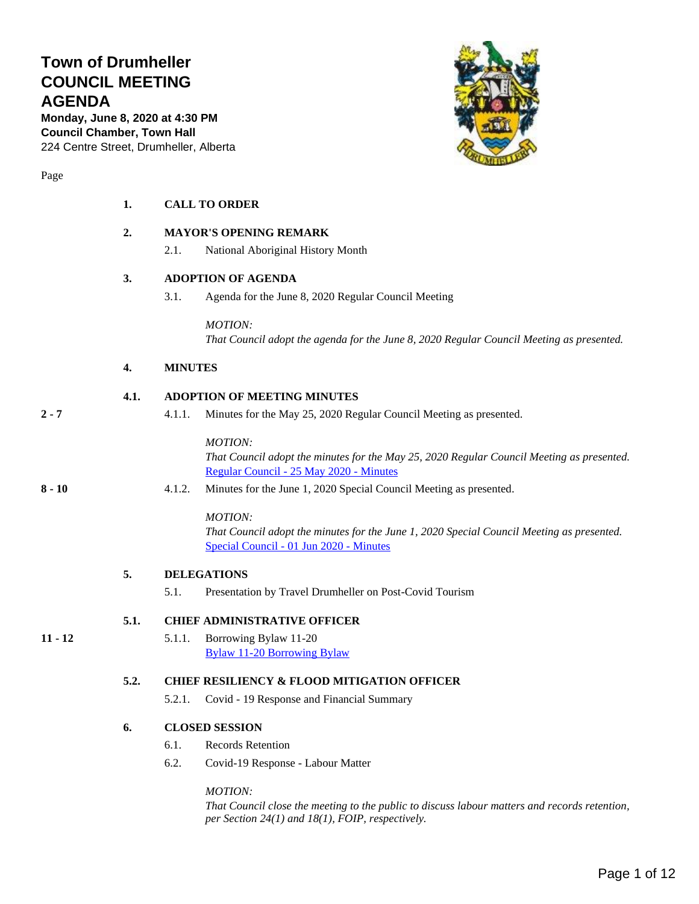# **Town of Drumheller COUNCIL MEETING AGENDA**

**Monday, June 8, 2020 at 4:30 PM Council Chamber, Town Hall** 224 Centre Street, Drumheller, Alberta



Page

| <b>CALL TO ORDER</b> |  |
|----------------------|--|
|                      |  |

#### **2. MAYOR'S OPENING REMARK**

2.1. National Aboriginal History Month

#### **3. ADOPTION OF AGENDA**

3.1. Agenda for the June 8, 2020 Regular Council Meeting

*MOTION:*

*That Council adopt the agenda for the June 8, 2020 Regular Council Meeting as presented.*

#### **4. MINUTES**

#### **4.1. ADOPTION OF MEETING MINUTES**

**2 - 7** 4.1.1. Minutes for the May 25, 2020 Regular Council Meeting as presented.

*MOTION:*

*That Council adopt the minutes for the May 25, 2020 Regular Council Meeting as presented.* [Regular Council -](#page-1-0) 25 May 2020 - Minutes

**8 - 10** 4.1.2. Minutes for the June 1, 2020 Special Council Meeting as presented.

#### *MOTION:*

*That Council adopt the minutes for the June 1, 2020 Special Council Meeting as presented.*  [Special Council -](#page-7-0) 01 Jun 2020 - Minutes

#### **5. DELEGATIONS**

5.1. Presentation by Travel Drumheller on Post-Covid Tourism

#### **5.1. CHIEF ADMINISTRATIVE OFFICER**

**11 - 12** 5.1.1. Borrowing Bylaw 11-20 [Bylaw 11-20 Borrowing Bylaw](#page-10-0)

#### **5.2. CHIEF RESILIENCY & FLOOD MITIGATION OFFICER**

5.2.1. Covid - 19 Response and Financial Summary

#### **6. CLOSED SESSION**

- 6.1. Records Retention
- 6.2. Covid-19 Response Labour Matter

#### *MOTION:*

*That Council close the meeting to the public to discuss labour matters and records retention, per Section 24(1) and 18(1), FOIP, respectively.*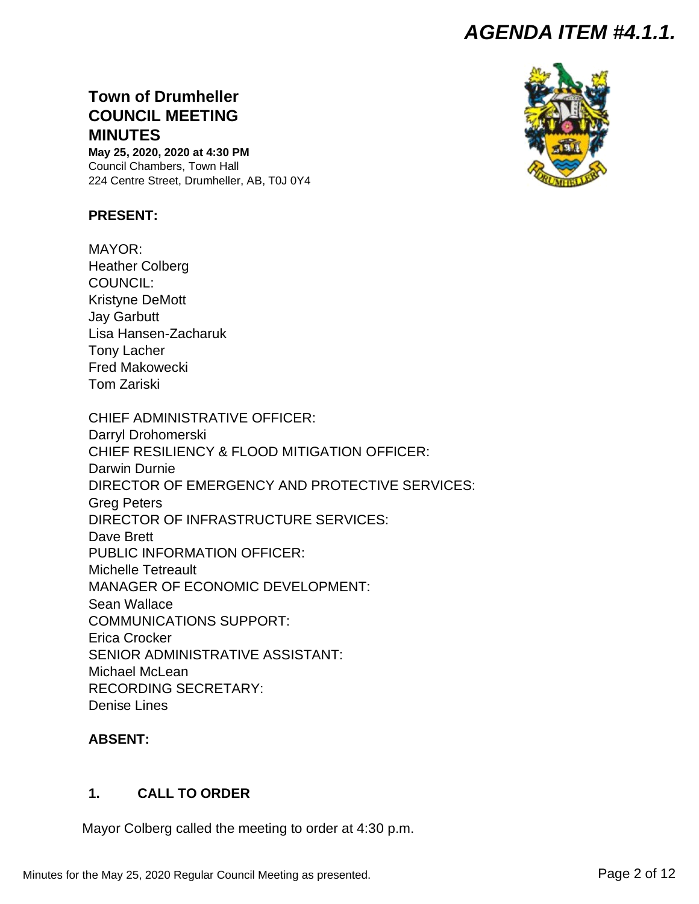# <span id="page-1-0"></span>**Town of Drumheller COUNCIL MEETING MINUTES**

**May 25, 2020, 2020 at 4:30 PM** Council Chambers, Town Hall 224 Centre Street, Drumheller, AB, T0J 0Y4

### **PRESENT:**

MAYOR: Heather Colberg COUNCIL: Kristyne DeMott Jay Garbutt Lisa Hansen-Zacharuk Tony Lacher Fred Makowecki Tom Zariski

CHIEF ADMINISTRATIVE OFFICER: Darryl Drohomerski CHIEF RESILIENCY & FLOOD MITIGATION OFFICER: Darwin Durnie DIRECTOR OF EMERGENCY AND PROTECTIVE SERVICES: Greg Peters DIRECTOR OF INFRASTRUCTURE SERVICES: Dave Brett PUBLIC INFORMATION OFFICER: Michelle Tetreault MANAGER OF ECONOMIC DEVELOPMENT: Sean Wallace COMMUNICATIONS SUPPORT: Erica Crocker SENIOR ADMINISTRATIVE ASSISTANT: Michael McLean RECORDING SECRETARY: Denise Lines

### **ABSENT:**

### **1. CALL TO ORDER**

Mayor Colberg called the meeting to order at 4:30 p.m.

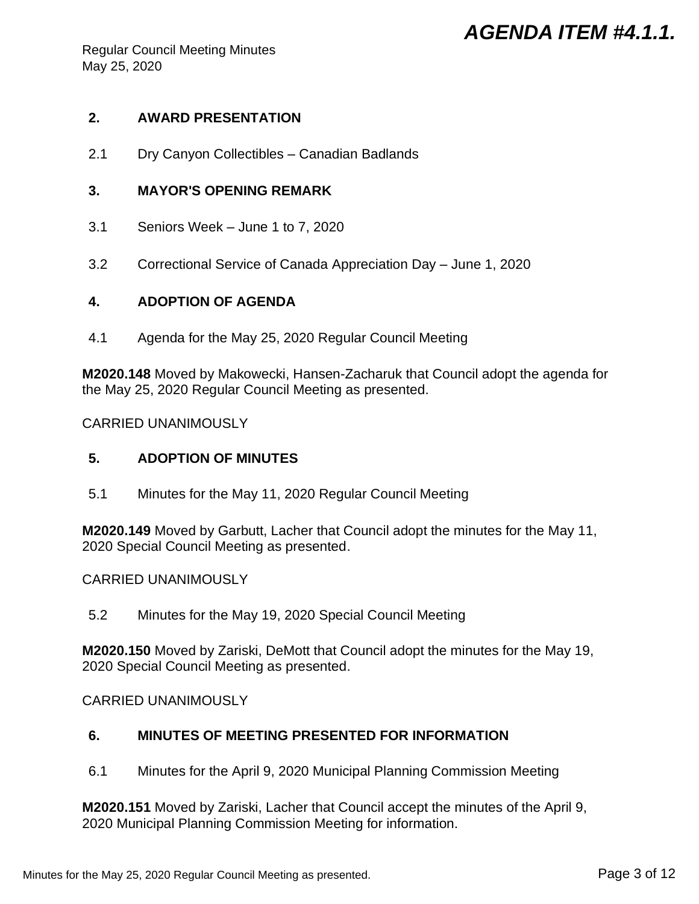Regular Council Meeting Minutes May 25, 2020

### **2. AWARD PRESENTATION**

2.1 Dry Canyon Collectibles – Canadian Badlands

### **3. MAYOR'S OPENING REMARK**

- 3.1 Seniors Week June 1 to 7, 2020
- 3.2 Correctional Service of Canada Appreciation Day June 1, 2020

### **4. ADOPTION OF AGENDA**

4.1 Agenda for the May 25, 2020 Regular Council Meeting

**M2020.148** Moved by Makowecki, Hansen-Zacharuk that Council adopt the agenda for the May 25, 2020 Regular Council Meeting as presented.

CARRIED UNANIMOUSLY

### **5. ADOPTION OF MINUTES**

5.1 Minutes for the May 11, 2020 Regular Council Meeting

**M2020.149** Moved by Garbutt, Lacher that Council adopt the minutes for the May 11, 2020 Special Council Meeting as presented.

### CARRIED UNANIMOUSLY

5.2 Minutes for the May 19, 2020 Special Council Meeting

**M2020.150** Moved by Zariski, DeMott that Council adopt the minutes for the May 19, 2020 Special Council Meeting as presented.

CARRIED UNANIMOUSLY

### **6. MINUTES OF MEETING PRESENTED FOR INFORMATION**

6.1 Minutes for the April 9, 2020 Municipal Planning Commission Meeting

**M2020.151** Moved by Zariski, Lacher that Council accept the minutes of the April 9, 2020 Municipal Planning Commission Meeting for information.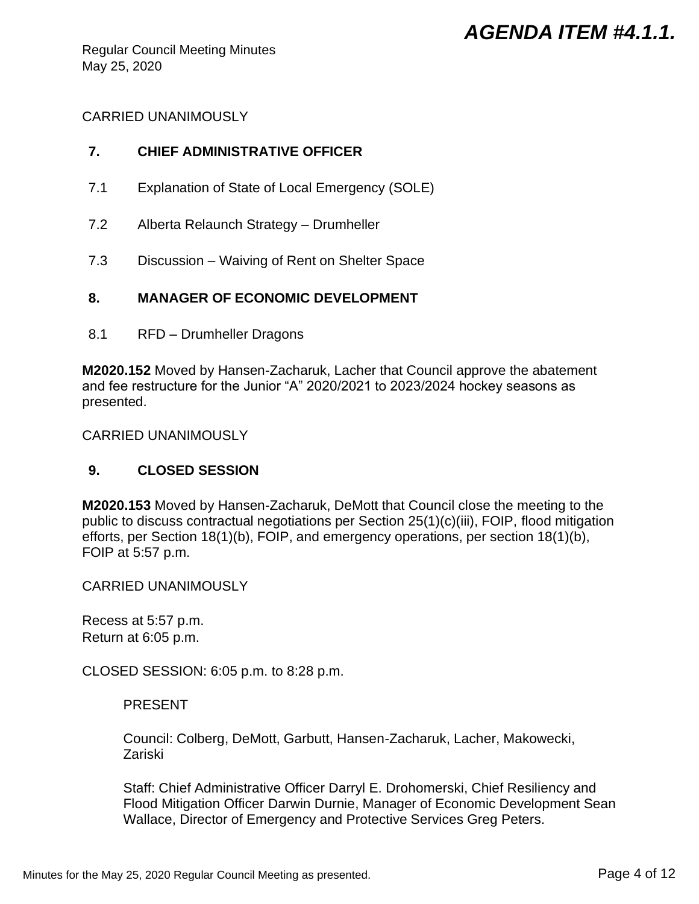Regular Council Meeting Minutes May 25, 2020

## CARRIED UNANIMOUSLY

## **7. CHIEF ADMINISTRATIVE OFFICER**

- 7.1 Explanation of State of Local Emergency (SOLE)
- 7.2 Alberta Relaunch Strategy Drumheller
- 7.3 Discussion Waiving of Rent on Shelter Space

## **8. MANAGER OF ECONOMIC DEVELOPMENT**

8.1 RFD – Drumheller Dragons

**M2020.152** Moved by Hansen-Zacharuk, Lacher that Council approve the abatement and fee restructure for the Junior "A" 2020/2021 to 2023/2024 hockey seasons as presented.

CARRIED UNANIMOUSLY

## **9. CLOSED SESSION**

**M2020.153** Moved by Hansen-Zacharuk, DeMott that Council close the meeting to the public to discuss contractual negotiations per Section 25(1)(c)(iii), FOIP, flood mitigation efforts, per Section 18(1)(b), FOIP, and emergency operations, per section 18(1)(b), FOIP at 5:57 p.m.

CARRIED UNANIMOUSLY

Recess at 5:57 p.m. Return at 6:05 p.m.

CLOSED SESSION: 6:05 p.m. to 8:28 p.m.

## PRESENT

Council: Colberg, DeMott, Garbutt, Hansen-Zacharuk, Lacher, Makowecki, Zariski

Staff: Chief Administrative Officer Darryl E. Drohomerski, Chief Resiliency and Flood Mitigation Officer Darwin Durnie, Manager of Economic Development Sean Wallace, Director of Emergency and Protective Services Greg Peters.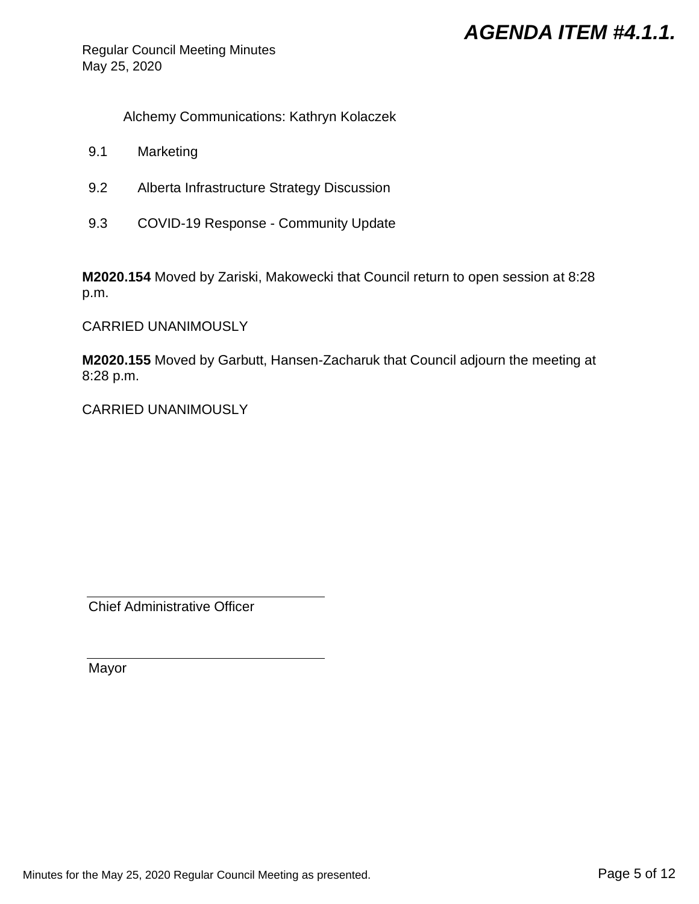Regular Council Meeting Minutes May 25, 2020

Alchemy Communications: Kathryn Kolaczek

- 9.1 Marketing
- 9.2 Alberta Infrastructure Strategy Discussion
- 9.3 COVID-19 Response Community Update

**M2020.154** Moved by Zariski, Makowecki that Council return to open session at 8:28 p.m.

CARRIED UNANIMOUSLY

**M2020.155** Moved by Garbutt, Hansen-Zacharuk that Council adjourn the meeting at 8:28 p.m.

CARRIED UNANIMOUSLY

Chief Administrative Officer

Mayor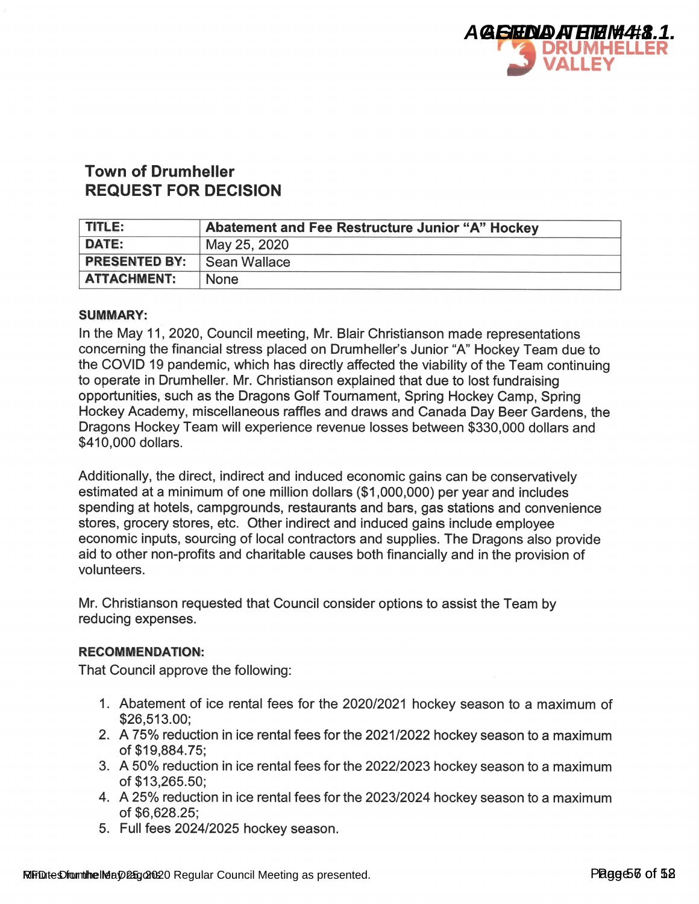

## **Town of Drumheller REQUEST FOR DECISION**

| <b>TITLE:</b>        | <b>Abatement and Fee Restructure Junior "A" Hockey</b> |
|----------------------|--------------------------------------------------------|
| <b>DATE:</b>         | May 25, 2020                                           |
| <b>PRESENTED BY:</b> | Sean Wallace                                           |
| <b>ATTACHMENT:</b>   | <b>None</b>                                            |

#### **SUMMARY:**

In the May 11, 2020, Council meeting, Mr. Blair Christianson made representations concerning the financial stress placed on Drumheller's Junior "A" Hockey Team due to the COVID 19 pandemic, which has directly affected the viability of the Team continuing to operate in Drumheller. Mr. Christianson explained that due to lost fundraising opportunities, such as the Dragons Golf Tournament, Spring Hockey Camp, Spring Hockey Academy, miscellaneous raffles and draws and Canada Day Beer Gardens, the Dragons Hockey Team will experience revenue losses between \$330,000 dollars and \$410,000 dollars.

Additionally, the direct, indirect and induced economic gains can be conservatively estimated at a minimum of one million dollars (\$1,000,000) per year and includes spending at hotels, campgrounds, restaurants and bars, gas stations and convenience stores, grocery stores, etc. Other indirect and induced gains include employee economic inputs, sourcing of local contractors and supplies. The Dragons also provide aid to other non-profits and charitable causes both financially and in the provision of volunteers.

Mr. Christianson requested that Council consider options to assist the Team by reducing expenses.

### **RECOMMENDATION:**

That Council approve the following:

- 1. Abatement of ice rental fees for the 2020/2021 hockey season to a maximum of \$26,513.00:
- 2. A 75% reduction in ice rental fees for the 2021/2022 hockey season to a maximum of \$19.884.75:
- 3. A 50% reduction in ice rental fees for the 2022/2023 hockey season to a maximum of \$13,265.50;
- 4. A 25% reduction in ice rental fees for the 2023/2024 hockey season to a maximum of \$6.628.25:
- 5. Full fees 2024/2025 hockey season.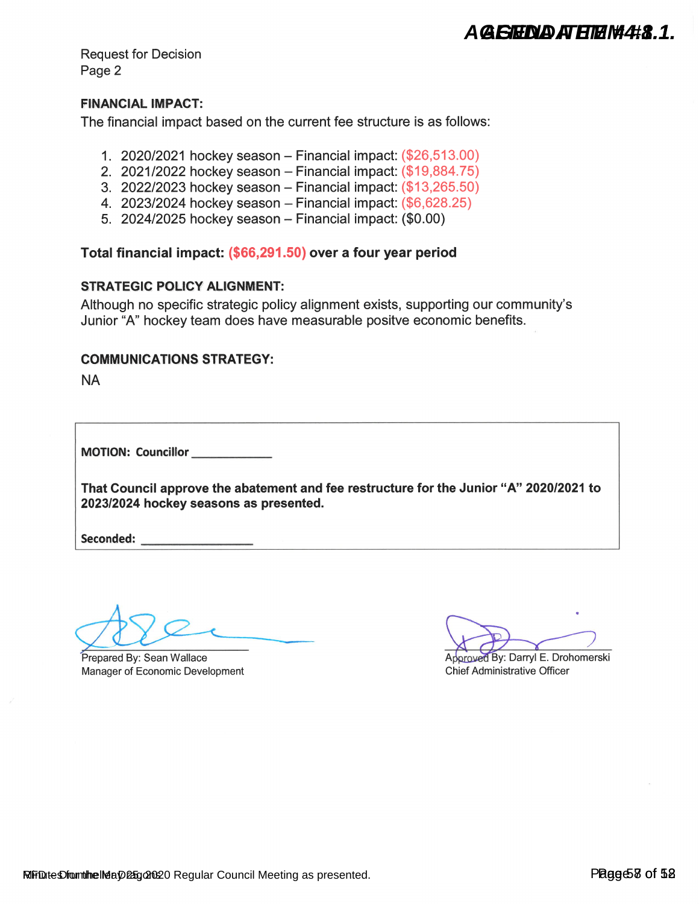A GISHNA ATHIH W4#8.1.

**Request for Decision** Page 2

### **FINANCIAL IMPACT:**

The financial impact based on the current fee structure is as follows:

- 1. 2020/2021 hockey season Financial impact:  $(\$26,513.00)$
- 2. 2021/2022 hockey season Financial impact: (\$19,884.75)
- 3. 2022/2023 hockey season Financial impact: (\$13,265.50)
- 4. 2023/2024 hockey season Financial impact:  $(\$6,628.25)$
- 5. 2024/2025 hockey season Financial impact: (\$0.00)

Total financial impact: (\$66,291.50) over a four year period

### **STRATEGIC POLICY ALIGNMENT:**

Although no specific strategic policy alignment exists, supporting our community's Junior "A" hockey team does have measurable positve economic benefits.

### **COMMUNICATIONS STRATEGY:**

**NA** 

MOTION: Councillor

That Council approve the abatement and fee restructure for the Junior "A" 2020/2021 to 2023/2024 hockey seasons as presented.

Seconded:

Prepared By: Sean Wallace Manager of Economic Development

Approved By: Darryl E. Drohomerski **Chief Administrative Officer**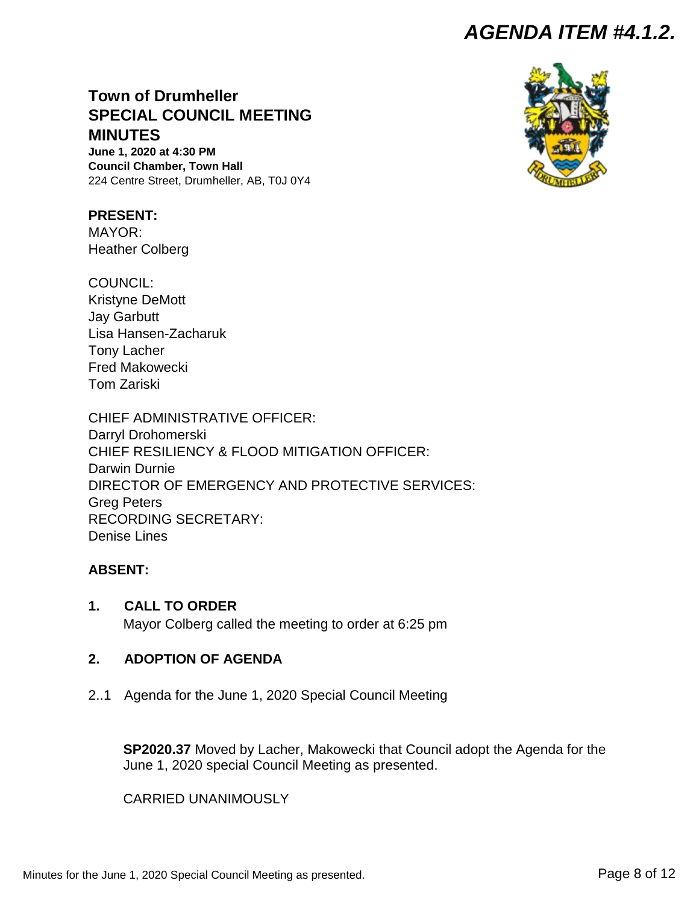# <span id="page-7-0"></span>**Town of Drumheller SPECIAL COUNCIL MEETING MINUTES**

**June 1, 2020 at 4:30 PM Council Chamber, Town Hall** 224 Centre Street, Drumheller, AB, T0J 0Y4

**PRESENT:** MAYOR: Heather Colberg

COUNCIL: Kristyne DeMott Jay Garbutt Lisa Hansen-Zacharuk Tony Lacher Fred Makowecki Tom Zariski

CHIEF ADMINISTRATIVE OFFICER: Darryl Drohomerski CHIEF RESILIENCY & FLOOD MITIGATION OFFICER: Darwin Durnie DIRECTOR OF EMERGENCY AND PROTECTIVE SERVICES: Greg Peters RECORDING SECRETARY: Denise Lines

### **ABSENT:**

**1. CALL TO ORDER**

Mayor Colberg called the meeting to order at 6:25 pm

## **2. ADOPTION OF AGENDA**

2..1 Agenda for the June 1, 2020 Special Council Meeting

**SP2020.37** Moved by Lacher, Makowecki that Council adopt the Agenda for the June 1, 2020 special Council Meeting as presented.

CARRIED UNANIMOUSLY



Minutes for the June 1, 2020 Special Council Meeting as presented. Page 8 of 12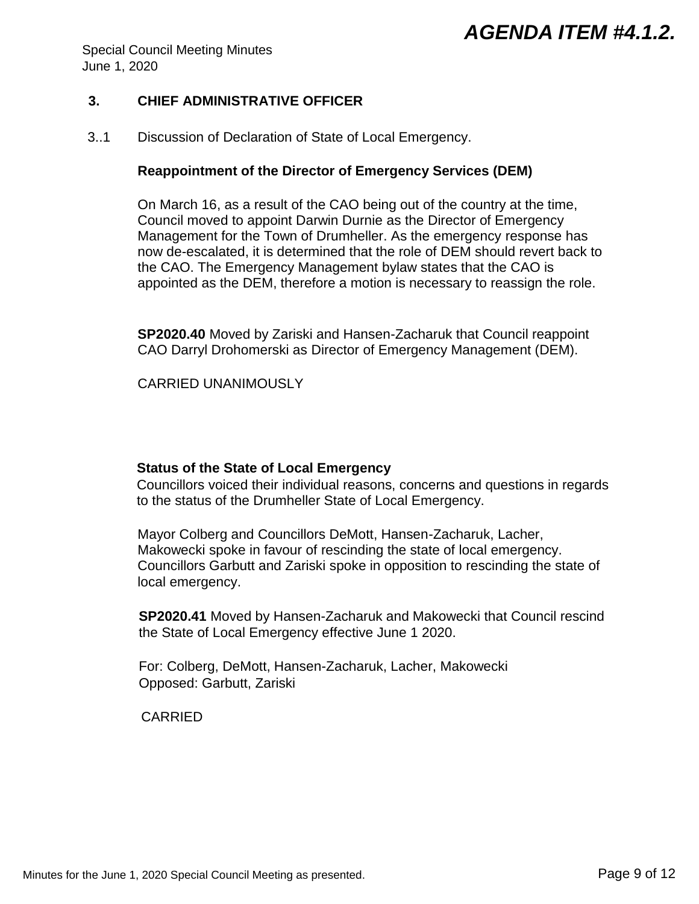Special Council Meeting Minutes June 1, 2020

### **3. CHIEF ADMINISTRATIVE OFFICER**

3..1 Discussion of Declaration of State of Local Emergency.

### **Reappointment of the Director of Emergency Services (DEM)**

On March 16, as a result of the CAO being out of the country at the time, Council moved to appoint Darwin Durnie as the Director of Emergency Management for the Town of Drumheller. As the emergency response has now de-escalated, it is determined that the role of DEM should revert back to the CAO. The Emergency Management bylaw states that the CAO is appointed as the DEM, therefore a motion is necessary to reassign the role.

**SP2020.40** Moved by Zariski and Hansen-Zacharuk that Council reappoint CAO Darryl Drohomerski as Director of Emergency Management (DEM).

CARRIED UNANIMOUSLY

### **Status of the State of Local Emergency**

Councillors voiced their individual reasons, concerns and questions in regards to the status of the Drumheller State of Local Emergency.

Mayor Colberg and Councillors DeMott, Hansen-Zacharuk, Lacher, Makowecki spoke in favour of rescinding the state of local emergency. Councillors Garbutt and Zariski spoke in opposition to rescinding the state of local emergency.

**SP2020.41** Moved by Hansen-Zacharuk and Makowecki that Council rescind the State of Local Emergency effective June 1 2020.

For: Colberg, DeMott, Hansen-Zacharuk, Lacher, Makowecki Opposed: Garbutt, Zariski

CARRIED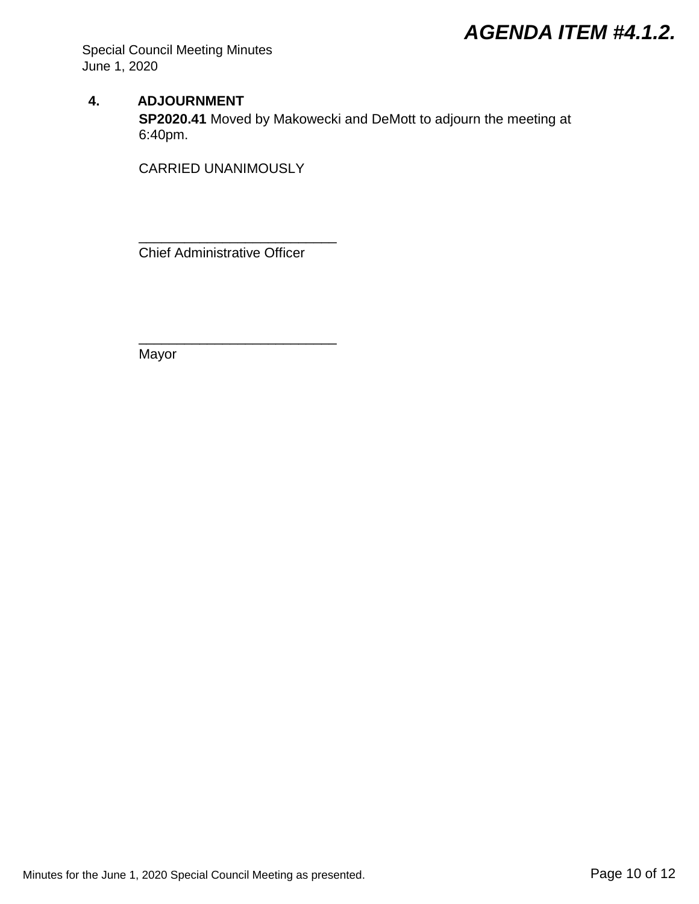Special Council Meeting Minutes June 1, 2020

### **4. ADJOURNMENT**

**SP2020.41** Moved by Makowecki and DeMott to adjourn the meeting at 6:40pm.

CARRIED UNANIMOUSLY

Chief Administrative Officer

\_\_\_\_\_\_\_\_\_\_\_\_\_\_\_\_\_\_\_\_\_\_\_\_\_\_

\_\_\_\_\_\_\_\_\_\_\_\_\_\_\_\_\_\_\_\_\_\_\_\_\_\_

Mayor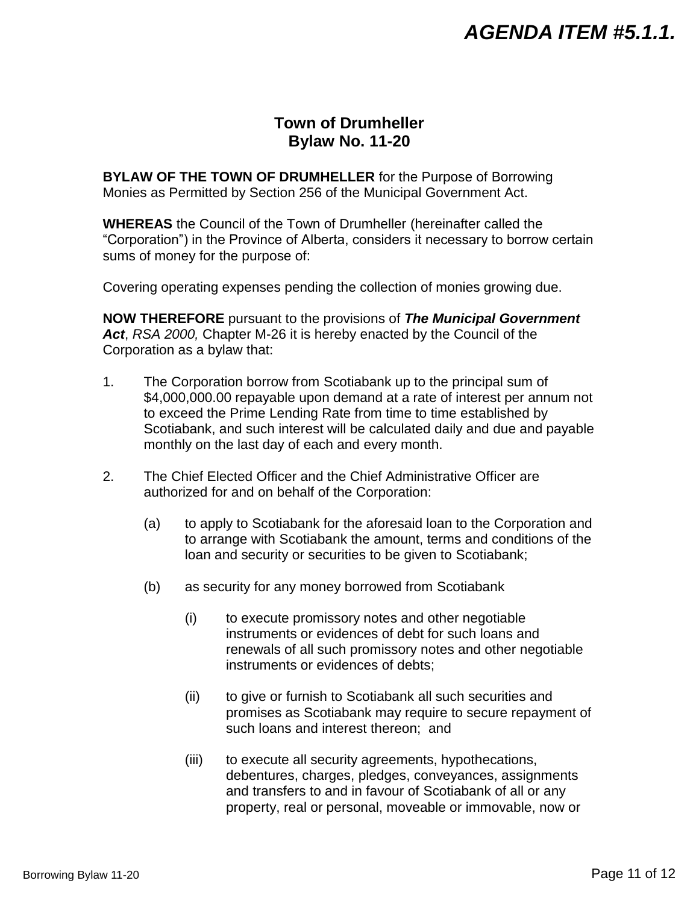## **Town of Drumheller Bylaw No. 11-20**

<span id="page-10-0"></span>**BYLAW OF THE TOWN OF DRUMHELLER** for the Purpose of Borrowing Monies as Permitted by Section 256 of the Municipal Government Act.

**WHEREAS** the Council of the Town of Drumheller (hereinafter called the "Corporation") in the Province of Alberta, considers it necessary to borrow certain sums of money for the purpose of:

Covering operating expenses pending the collection of monies growing due.

**NOW THEREFORE** pursuant to the provisions of *The Municipal Government Act*, *RSA 2000,* Chapter M-26 it is hereby enacted by the Council of the Corporation as a bylaw that:

- 1. The Corporation borrow from Scotiabank up to the principal sum of \$4,000,000.00 repayable upon demand at a rate of interest per annum not to exceed the Prime Lending Rate from time to time established by Scotiabank, and such interest will be calculated daily and due and payable monthly on the last day of each and every month.
- 2. The Chief Elected Officer and the Chief Administrative Officer are authorized for and on behalf of the Corporation:
	- (a) to apply to Scotiabank for the aforesaid loan to the Corporation and to arrange with Scotiabank the amount, terms and conditions of the loan and security or securities to be given to Scotiabank;
	- (b) as security for any money borrowed from Scotiabank
		- (i) to execute promissory notes and other negotiable instruments or evidences of debt for such loans and renewals of all such promissory notes and other negotiable instruments or evidences of debts;
		- (ii) to give or furnish to Scotiabank all such securities and promises as Scotiabank may require to secure repayment of such loans and interest thereon; and
		- (iii) to execute all security agreements, hypothecations, debentures, charges, pledges, conveyances, assignments and transfers to and in favour of Scotiabank of all or any property, real or personal, moveable or immovable, now or